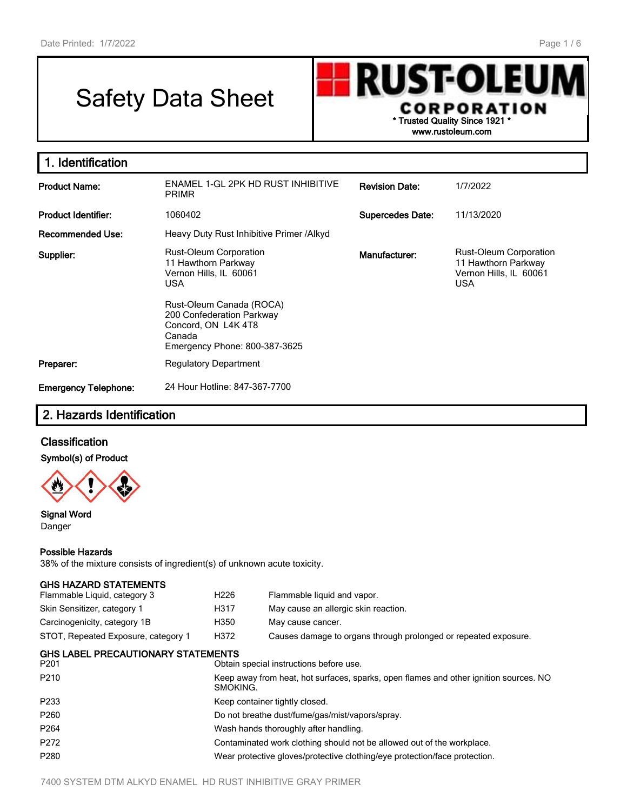# Safety Data Sheet



**1. Identification Product Name:** ENAMEL 1-GL 2PK HD RUST INHIBITIVE PRIMR **Revision Date:** 1/7/2022 **Product Identifier:** 1060402 **Supercedes Date:** 11/13/2020 Recommended Use: Heavy Duty Rust Inhibitive Primer /Alkyd **Supplier:** Rust-Oleum Corporation 11 Hawthorn Parkway Vernon Hills, IL 60061 USA Rust-Oleum Canada (ROCA) 200 Confederation Parkway Concord, ON L4K 4T8 Canada Emergency Phone: 800-387-3625 **Manufacturer:** Rust-Oleum Corporation 11 Hawthorn Parkway Vernon Hills, IL 60061 USA **Preparer:** Regulatory Department **Emergency Telephone:** 24 Hour Hotline: 847-367-7700

# **2. Hazards Identification**

## **Classification**

#### **Symbol(s) of Product**



#### **Signal Word** Danger

# **Possible Hazards**

38% of the mixture consists of ingredient(s) of unknown acute toxicity.

| H <sub>226</sub>                                                                                  | Flammable liquid and vapor.                                                |  |  |
|---------------------------------------------------------------------------------------------------|----------------------------------------------------------------------------|--|--|
| H317                                                                                              | May cause an allergic skin reaction.                                       |  |  |
| H350                                                                                              | May cause cancer.                                                          |  |  |
| H372                                                                                              | Causes damage to organs through prolonged or repeated exposure.            |  |  |
|                                                                                                   | Obtain special instructions before use.                                    |  |  |
| Keep away from heat, hot surfaces, sparks, open flames and other ignition sources. NO<br>SMOKING. |                                                                            |  |  |
|                                                                                                   | Keep container tightly closed.                                             |  |  |
| Do not breathe dust/fume/gas/mist/vapors/spray.                                                   |                                                                            |  |  |
|                                                                                                   | Wash hands thoroughly after handling.                                      |  |  |
| Contaminated work clothing should not be allowed out of the workplace.                            |                                                                            |  |  |
|                                                                                                   | Wear protective gloves/protective clothing/eye protection/face protection. |  |  |
|                                                                                                   | <b>GHS LABEL PRECAUTIONARY STATEMENTS</b>                                  |  |  |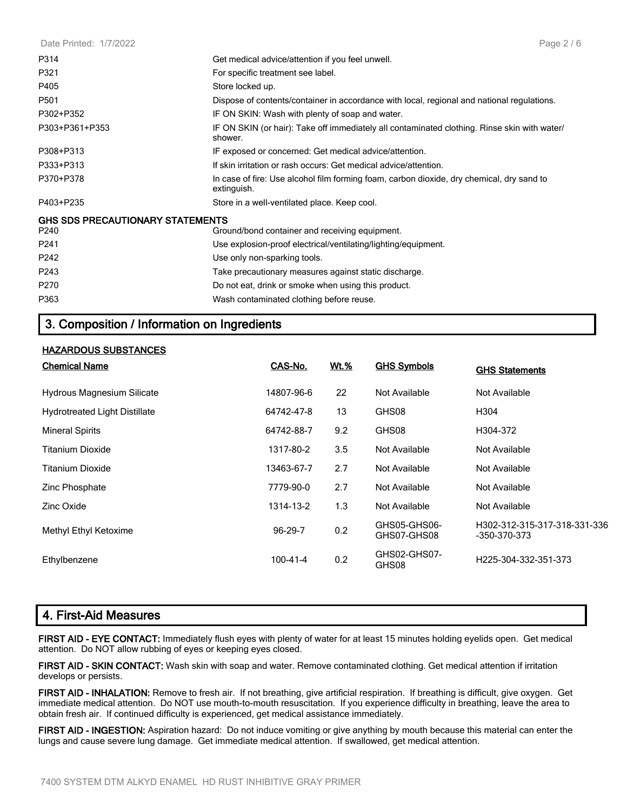| Date Printed: 1/7/2022                          | Page $2/6$                                                                                               |
|-------------------------------------------------|----------------------------------------------------------------------------------------------------------|
| P314                                            | Get medical advice/attention if you feel unwell.                                                         |
| P321                                            | For specific treatment see label.                                                                        |
| P405                                            | Store locked up.                                                                                         |
| P501                                            | Dispose of contents/container in accordance with local, regional and national regulations.               |
| P302+P352                                       | IF ON SKIN: Wash with plenty of soap and water.                                                          |
| P303+P361+P353                                  | IF ON SKIN (or hair): Take off immediately all contaminated clothing. Rinse skin with water/<br>shower.  |
| P308+P313                                       | IF exposed or concerned: Get medical advice/attention.                                                   |
| P333+P313                                       | If skin irritation or rash occurs: Get medical advice/attention.                                         |
| P370+P378                                       | In case of fire: Use alcohol film forming foam, carbon dioxide, dry chemical, dry sand to<br>extinguish. |
| P403+P235                                       | Store in a well-ventilated place. Keep cool.                                                             |
| <b>GHS SDS PRECAUTIONARY STATEMENTS</b><br>P240 | Ground/bond container and receiving equipment.                                                           |
| P <sub>241</sub>                                | Use explosion-proof electrical/ventilating/lighting/equipment.                                           |
| P242                                            | Use only non-sparking tools.                                                                             |
| P <sub>243</sub>                                | Take precautionary measures against static discharge.                                                    |
| P <sub>270</sub>                                | Do not eat, drink or smoke when using this product.                                                      |
| P363                                            | Wash contaminated clothing before reuse.                                                                 |

# **3. Composition / Information on Ingredients**

#### **HAZARDOUS SUBSTANCES**

| <b>Chemical Name</b>                 | CAS-No.    | Wt.% | <b>GHS Symbols</b>          | <b>GHS Statements</b>                        |
|--------------------------------------|------------|------|-----------------------------|----------------------------------------------|
| Hydrous Magnesium Silicate           | 14807-96-6 | 22   | Not Available               | Not Available                                |
| <b>Hydrotreated Light Distillate</b> | 64742-47-8 | 13   | GHS08                       | H304                                         |
| <b>Mineral Spirits</b>               | 64742-88-7 | 9.2  | GHS08                       | H304-372                                     |
| Titanium Dioxide                     | 1317-80-2  | 3.5  | Not Available               | Not Available                                |
| <b>Titanium Dioxide</b>              | 13463-67-7 | 2.7  | Not Available               | Not Available                                |
| Zinc Phosphate                       | 7779-90-0  | 2.7  | Not Available               | Not Available                                |
| Zinc Oxide                           | 1314-13-2  | 1.3  | Not Available               | Not Available                                |
| Methyl Ethyl Ketoxime                | 96-29-7    | 0.2  | GHS05-GHS06-<br>GHS07-GHS08 | H302-312-315-317-318-331-336<br>-350-370-373 |
| Ethylbenzene                         | 100-41-4   | 0.2  | GHS02-GHS07-<br>GHS08       | H225-304-332-351-373                         |

# **4. First-Aid Measures**

**FIRST AID - EYE CONTACT:** Immediately flush eyes with plenty of water for at least 15 minutes holding eyelids open. Get medical attention. Do NOT allow rubbing of eyes or keeping eyes closed.

**FIRST AID - SKIN CONTACT:** Wash skin with soap and water. Remove contaminated clothing. Get medical attention if irritation develops or persists.

**FIRST AID - INHALATION:** Remove to fresh air. If not breathing, give artificial respiration. If breathing is difficult, give oxygen. Get immediate medical attention. Do NOT use mouth-to-mouth resuscitation. If you experience difficulty in breathing, leave the area to obtain fresh air. If continued difficulty is experienced, get medical assistance immediately.

**FIRST AID - INGESTION:** Aspiration hazard: Do not induce vomiting or give anything by mouth because this material can enter the lungs and cause severe lung damage. Get immediate medical attention. If swallowed, get medical attention.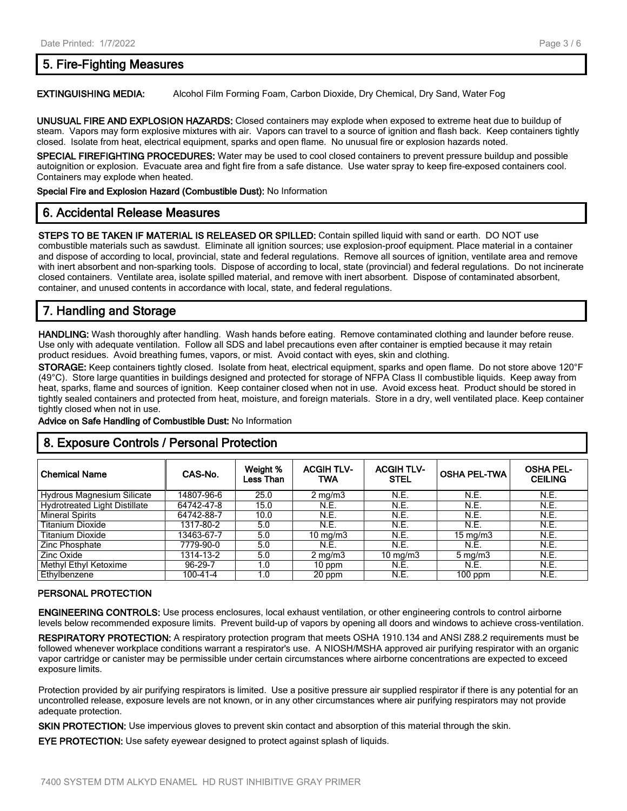## **5. Fire-Fighting Measures**

**EXTINGUISHING MEDIA:** Alcohol Film Forming Foam, Carbon Dioxide, Dry Chemical, Dry Sand, Water Fog

**UNUSUAL FIRE AND EXPLOSION HAZARDS:** Closed containers may explode when exposed to extreme heat due to buildup of steam. Vapors may form explosive mixtures with air. Vapors can travel to a source of ignition and flash back. Keep containers tightly closed. Isolate from heat, electrical equipment, sparks and open flame. No unusual fire or explosion hazards noted.

**SPECIAL FIREFIGHTING PROCEDURES:** Water may be used to cool closed containers to prevent pressure buildup and possible autoignition or explosion. Evacuate area and fight fire from a safe distance. Use water spray to keep fire-exposed containers cool. Containers may explode when heated.

**Special Fire and Explosion Hazard (Combustible Dust):** No Information

# **6. Accidental Release Measures**

**STEPS TO BE TAKEN IF MATERIAL IS RELEASED OR SPILLED:** Contain spilled liquid with sand or earth. DO NOT use combustible materials such as sawdust. Eliminate all ignition sources; use explosion-proof equipment. Place material in a container and dispose of according to local, provincial, state and federal regulations. Remove all sources of ignition, ventilate area and remove with inert absorbent and non-sparking tools. Dispose of according to local, state (provincial) and federal regulations. Do not incinerate closed containers. Ventilate area, isolate spilled material, and remove with inert absorbent. Dispose of contaminated absorbent, container, and unused contents in accordance with local, state, and federal regulations.

# **7. Handling and Storage**

**HANDLING:** Wash thoroughly after handling. Wash hands before eating. Remove contaminated clothing and launder before reuse. Use only with adequate ventilation. Follow all SDS and label precautions even after container is emptied because it may retain product residues. Avoid breathing fumes, vapors, or mist. Avoid contact with eyes, skin and clothing.

**STORAGE:** Keep containers tightly closed. Isolate from heat, electrical equipment, sparks and open flame. Do not store above 120°F (49°C). Store large quantities in buildings designed and protected for storage of NFPA Class II combustible liquids. Keep away from heat, sparks, flame and sources of ignition. Keep container closed when not in use. Avoid excess heat. Product should be stored in tightly sealed containers and protected from heat, moisture, and foreign materials. Store in a dry, well ventilated place. Keep container tightly closed when not in use.

**Advice on Safe Handling of Combustible Dust:** No Information

## **8. Exposure Controls / Personal Protection**

| <b>Chemical Name</b>                 | CAS-No.    | Weight %<br>Less Than | <b>ACGIH TLV-</b><br>TWA | <b>ACGIH TLV-</b><br><b>STEL</b> | <b>OSHA PEL-TWA</b> | <b>OSHA PEL-</b><br><b>CEILING</b> |
|--------------------------------------|------------|-----------------------|--------------------------|----------------------------------|---------------------|------------------------------------|
| Hydrous Magnesium Silicate           | 14807-96-6 | 25.0                  | $2 \text{ mg/m}$         | N.E.                             | N.E.                | N.E.                               |
| <b>Hydrotreated Light Distillate</b> | 64742-47-8 | 15.0                  | N.E.                     | N.E.                             | N.E.                | N.E.                               |
| <b>Mineral Spirits</b>               | 64742-88-7 | 10.0                  | N.E.                     | <b>N.E.</b>                      | N.E.                | <b>N.E.</b>                        |
| <b>Titanium Dioxide</b>              | 1317-80-2  | 5.0                   | N.E.                     | <b>N.E.</b>                      | N.E.                | N.E.                               |
| <b>Titanium Dioxide</b>              | 13463-67-7 | 5.0                   | $10 \text{ mg/m}$        | <b>N.E.</b>                      | $15 \text{ mg/m}$   | <b>N.E.</b>                        |
| Zinc Phosphate                       | 7779-90-0  | 5.0                   | N.E.                     | <b>N.E.</b>                      | N.E.                | <b>N.E.</b>                        |
| Zinc Oxide                           | 1314-13-2  | 5.0                   | $2 \text{ mg/m}$         | $10 \text{ mg/m}$                | $5 \text{ mg/m}$    | N.E.                               |
| Methyl Ethyl Ketoxime                | 96-29-7    | 1.0                   | $10$ ppm                 | N.E.                             | N.E.                | N.E.                               |
| Ethylbenzene                         | 100-41-4   | 1.0                   | 20 ppm                   | N.E.                             | $100$ ppm           | <b>N.E.</b>                        |

#### **PERSONAL PROTECTION**

**ENGINEERING CONTROLS:** Use process enclosures, local exhaust ventilation, or other engineering controls to control airborne levels below recommended exposure limits. Prevent build-up of vapors by opening all doors and windows to achieve cross-ventilation.

**RESPIRATORY PROTECTION:** A respiratory protection program that meets OSHA 1910.134 and ANSI Z88.2 requirements must be followed whenever workplace conditions warrant a respirator's use. A NIOSH/MSHA approved air purifying respirator with an organic vapor cartridge or canister may be permissible under certain circumstances where airborne concentrations are expected to exceed exposure limits.

Protection provided by air purifying respirators is limited. Use a positive pressure air supplied respirator if there is any potential for an uncontrolled release, exposure levels are not known, or in any other circumstances where air purifying respirators may not provide adequate protection.

**SKIN PROTECTION:** Use impervious gloves to prevent skin contact and absorption of this material through the skin.

**EYE PROTECTION:** Use safety eyewear designed to protect against splash of liquids.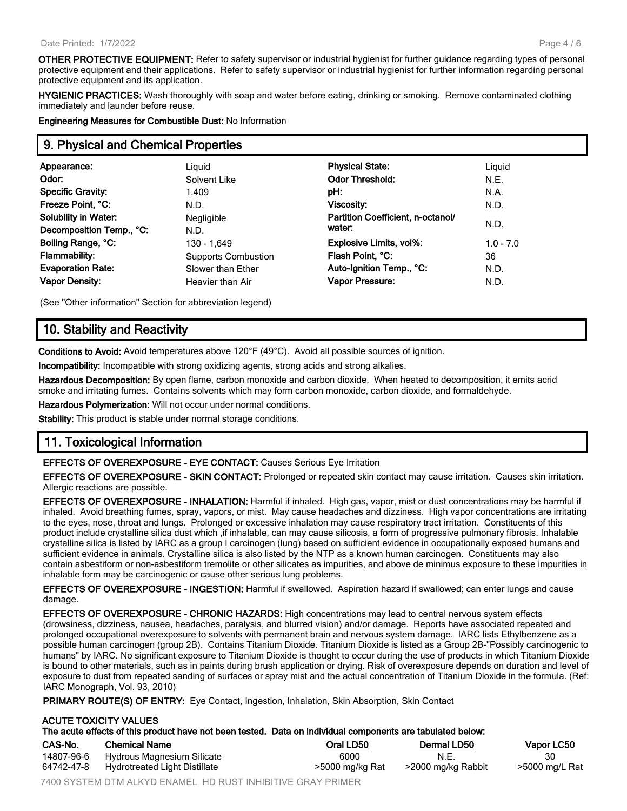**OTHER PROTECTIVE EQUIPMENT:** Refer to safety supervisor or industrial hygienist for further guidance regarding types of personal protective equipment and their applications. Refer to safety supervisor or industrial hygienist for further information regarding personal protective equipment and its application.

**HYGIENIC PRACTICES:** Wash thoroughly with soap and water before eating, drinking or smoking. Remove contaminated clothing immediately and launder before reuse.

**Engineering Measures for Combustible Dust:** No Information

## **9. Physical and Chemical Properties**

| Appearance:                 | Liguid                     | <b>Physical State:</b>            | Liquid      |
|-----------------------------|----------------------------|-----------------------------------|-------------|
| Odor:                       | Solvent Like               | <b>Odor Threshold:</b>            | N.E.        |
| <b>Specific Gravity:</b>    | 1.409                      | pH:                               | N.A.        |
| Freeze Point, °C:           | N.D.                       | Viscosity:                        | N.D.        |
| <b>Solubility in Water:</b> | Negligible                 | Partition Coefficient, n-octanol/ |             |
| Decomposition Temp., °C:    | N.D.                       | water:                            | N.D.        |
| Boiling Range, °C:          | 130 - 1.649                | Explosive Limits, vol%:           | $1.0 - 7.0$ |
| Flammability:               | <b>Supports Combustion</b> | Flash Point, °C:                  | 36          |
| <b>Evaporation Rate:</b>    | Slower than Ether          | Auto-Ignition Temp., °C:          | N.D.        |
| <b>Vapor Density:</b>       | Heavier than Air           | <b>Vapor Pressure:</b>            | N.D.        |
|                             |                            |                                   |             |

(See "Other information" Section for abbreviation legend)

# **10. Stability and Reactivity**

**Conditions to Avoid:** Avoid temperatures above 120°F (49°C). Avoid all possible sources of ignition.

**Incompatibility:** Incompatible with strong oxidizing agents, strong acids and strong alkalies.

**Hazardous Decomposition:** By open flame, carbon monoxide and carbon dioxide. When heated to decomposition, it emits acrid smoke and irritating fumes. Contains solvents which may form carbon monoxide, carbon dioxide, and formaldehyde.

**Hazardous Polymerization:** Will not occur under normal conditions.

**Stability:** This product is stable under normal storage conditions.

# **11. Toxicological Information**

**EFFECTS OF OVEREXPOSURE - EYE CONTACT:** Causes Serious Eye Irritation

**EFFECTS OF OVEREXPOSURE - SKIN CONTACT:** Prolonged or repeated skin contact may cause irritation. Causes skin irritation. Allergic reactions are possible.

**EFFECTS OF OVEREXPOSURE - INHALATION:** Harmful if inhaled. High gas, vapor, mist or dust concentrations may be harmful if inhaled. Avoid breathing fumes, spray, vapors, or mist. May cause headaches and dizziness. High vapor concentrations are irritating to the eyes, nose, throat and lungs. Prolonged or excessive inhalation may cause respiratory tract irritation. Constituents of this product include crystalline silica dust which ,if inhalable, can may cause silicosis, a form of progressive pulmonary fibrosis. Inhalable crystalline silica is listed by IARC as a group I carcinogen (lung) based on sufficient evidence in occupationally exposed humans and sufficient evidence in animals. Crystalline silica is also listed by the NTP as a known human carcinogen. Constituents may also contain asbestiform or non-asbestiform tremolite or other silicates as impurities, and above de minimus exposure to these impurities in inhalable form may be carcinogenic or cause other serious lung problems.

**EFFECTS OF OVEREXPOSURE - INGESTION:** Harmful if swallowed. Aspiration hazard if swallowed; can enter lungs and cause damage.

**EFFECTS OF OVEREXPOSURE - CHRONIC HAZARDS:** High concentrations may lead to central nervous system effects (drowsiness, dizziness, nausea, headaches, paralysis, and blurred vision) and/or damage. Reports have associated repeated and prolonged occupational overexposure to solvents with permanent brain and nervous system damage. IARC lists Ethylbenzene as a possible human carcinogen (group 2B). Contains Titanium Dioxide. Titanium Dioxide is listed as a Group 2B-"Possibly carcinogenic to humans" by IARC. No significant exposure to Titanium Dioxide is thought to occur during the use of products in which Titanium Dioxide is bound to other materials, such as in paints during brush application or drying. Risk of overexposure depends on duration and level of exposure to dust from repeated sanding of surfaces or spray mist and the actual concentration of Titanium Dioxide in the formula. (Ref: IARC Monograph, Vol. 93, 2010)

**PRIMARY ROUTE(S) OF ENTRY:** Eye Contact, Ingestion, Inhalation, Skin Absorption, Skin Contact

#### **ACUTE TOXICITY VALUES**

| CAS-No.    | <b>Chemical Name</b>          | Oral LD50       | <b>Dermal LD50</b> | <b>Vapor LC50</b> |
|------------|-------------------------------|-----------------|--------------------|-------------------|
| 14807-96-6 | Hydrous Magnesium Silicate    | 6000            | N.E.               | 30                |
| 64742-47-8 | Hydrotreated Light Distillate | >5000 mg/kg Rat | >2000 mg/kg Rabbit | >5000 mg/L Rat    |

7400 SYSTEM DTM ALKYD ENAMEL HD RUST INHIBITIVE GRAY PRIMER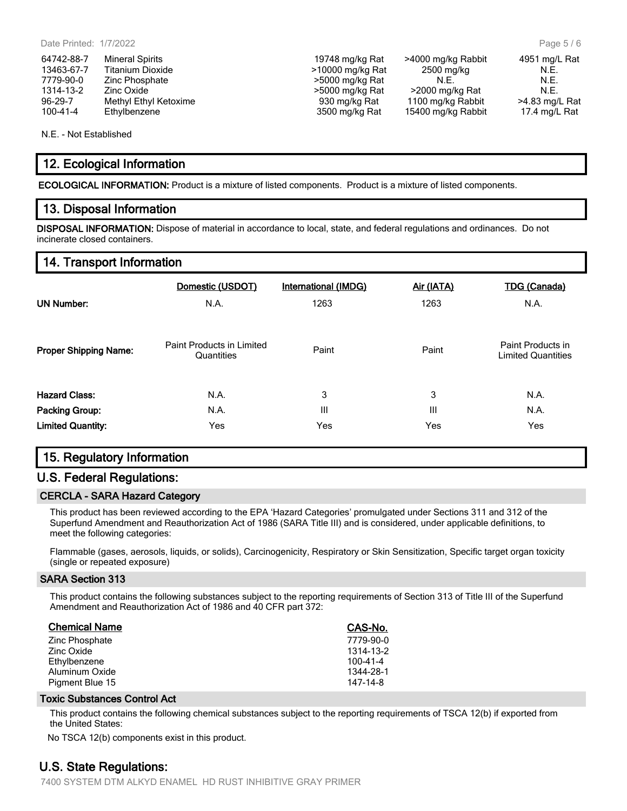64742-88-7 Mineral Spirits 19748 mg/kg Rat >4000 mg/kg Rabbit 4951 mg/L Rat 13463-67-7 Titanium Dioxide **12000 mg/kg Rat** 2500 mg/kg 2500 mg/kg 2500 mg/kg 2500 mg/kg 2500 mg/kg 2500 mg/kg 2 7779-90-0 Zinc Phosphate  $\sim$  5000 mg/kg Rat N.E. N.E. N.E. N.E. 1314-13-2 Zinc Oxide **Xinc Community** >5000 mg/kg Rat >2000 mg/kg Rat N.E. 96-29-7 Methyl Ethyl Ketoxime 930 mg/kg Rat 1100 mg/kg Rabbit >4.83 mg/L Rat 100-41-4 Ethylbenzene 3500 mg/kg Rat 15400 mg/kg Rabbit 17.4 mg/L Rat

N.E. - Not Established

## **12. Ecological Information**

**ECOLOGICAL INFORMATION:** Product is a mixture of listed components. Product is a mixture of listed components.

#### **13. Disposal Information**

**DISPOSAL INFORMATION:** Dispose of material in accordance to local, state, and federal regulations and ordinances. Do not incinerate closed containers.

## **14. Transport Information**

| <b>UN Number:</b>            | Domestic (USDOT)                        | <b>International (IMDG)</b> | Air (IATA)     | <b>TDG (Canada)</b>                            |
|------------------------------|-----------------------------------------|-----------------------------|----------------|------------------------------------------------|
|                              | N.A.                                    | 1263                        | 1263           | N.A.                                           |
| <b>Proper Shipping Name:</b> | Paint Products in Limited<br>Quantities | Paint                       | Paint          | Paint Products in<br><b>Limited Quantities</b> |
| <b>Hazard Class:</b>         | N.A.                                    | 3                           | 3              | N.A.                                           |
| Packing Group:               | N.A.                                    | Ш                           | $\mathbf{III}$ | N.A.                                           |
| <b>Limited Quantity:</b>     | Yes                                     | Yes                         | Yes            | Yes                                            |

## **15. Regulatory Information**

## **U.S. Federal Regulations:**

#### **CERCLA - SARA Hazard Category**

This product has been reviewed according to the EPA 'Hazard Categories' promulgated under Sections 311 and 312 of the Superfund Amendment and Reauthorization Act of 1986 (SARA Title III) and is considered, under applicable definitions, to meet the following categories:

Flammable (gases, aerosols, liquids, or solids), Carcinogenicity, Respiratory or Skin Sensitization, Specific target organ toxicity (single or repeated exposure)

#### **SARA Section 313**

This product contains the following substances subject to the reporting requirements of Section 313 of Title III of the Superfund Amendment and Reauthorization Act of 1986 and 40 CFR part 372:

| <b>Chemical Name</b> | CAS-No.   |
|----------------------|-----------|
| Zinc Phosphate       | 7779-90-0 |
| Zinc Oxide           | 1314-13-2 |
| Ethylbenzene         | 100-41-4  |
| Aluminum Oxide       | 1344-28-1 |
| Pigment Blue 15      | 147-14-8  |

#### **Toxic Substances Control Act**

This product contains the following chemical substances subject to the reporting requirements of TSCA 12(b) if exported from the United States:

No TSCA 12(b) components exist in this product.

## **U.S. State Regulations:**